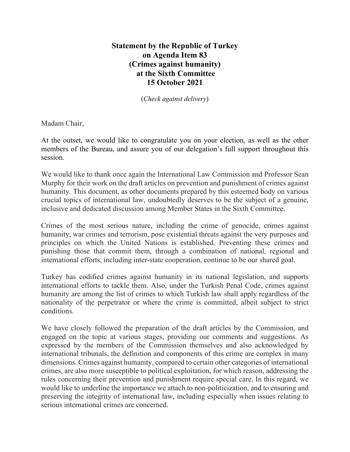## **Statement by the Republic of Turkey on Agenda Item 83 (Crimes against humanity) at the Sixth Committee 15 October 2021**

(*Check against delivery*)

Madam Chair,

At the outset, we would like to congratulate you on your election, as well as the other members of the Bureau, and assure you of our delegation's full support throughout this session.

We would like to thank once again the International Law Commission and Professor Sean Murphy for their work on the draft articles on prevention and punishment of crimes against humanity. This document, as other documents prepared by this esteemed body on various crucial topics of international law, undoubtedly deserves to be the subject of a genuine, inclusive and dedicated discussion among Member States in the Sixth Committee.

Crimes of the most serious nature, including the crime of genocide, crimes against humanity, war crimes and terrorism, pose existential threats against the very purposes and principles on which the United Nations is established. Preventing these crimes and punishing those that commit them, through a combination of national, regional and international efforts, including inter-state cooperation, continue to be our shared goal.

Turkey has codified crimes against humanity in its national legislation, and supports international efforts to tackle them. Also, under the Turkish Penal Code, crimes against humanity are among the list of crimes to which Turkish law shall apply regardless of the nationality of the perpetrator or where the crime is committed, albeit subject to strict conditions.

We have closely followed the preparation of the draft articles by the Commission, and engaged on the topic at various stages, providing our comments and suggestions. As expressed by the members of the Commission themselves and also acknowledged by international tribunals, the definition and components of this crime are complex in many dimensions. Crimes against humanity, compared to certain other categories of international crimes, are also more susceptible to political exploitation, for which reason, addressing the rules concerning their prevention and punishment require special care. In this regard, we would like to underline the importance we attach to non-politicization, and to ensuring and preserving the integrity of international law, including especially when issues relating to serious international crimes are concerned.